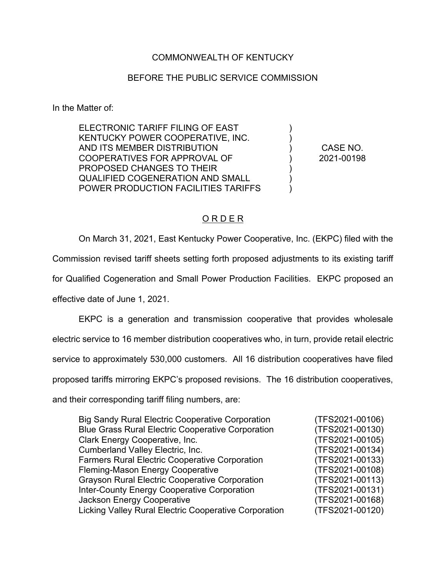### COMMONWEALTH OF KENTUCKY

#### BEFORE THE PUBLIC SERVICE COMMISSION

In the Matter of:

ELECTRONIC TARIFF FILING OF EAST KENTUCKY POWER COOPERATIVE, INC. AND ITS MEMBER DISTRIBUTION COOPERATIVES FOR APPROVAL OF PROPOSED CHANGES TO THEIR QUALIFIED COGENERATION AND SMALL POWER PRODUCTION FACILITIES TARIFFS

CASE NO. 2021-00198

) ) ) ) ) )  $\lambda$ 

#### O R D E R

On March 31, 2021, East Kentucky Power Cooperative, Inc. (EKPC) filed with the Commission revised tariff sheets setting forth proposed adjustments to its existing tariff for Qualified Cogeneration and Small Power Production Facilities. EKPC proposed an effective date of June 1, 2021. EKPC is a generation and transmission cooperative that provides wholesale electric service to 16 member distribution cooperatives who, in turn, provide retail electric service to approximately 530,000 customers. All 16 distribution cooperatives have filed proposed tariffs mirroring EKPC's proposed revisions. The 16 distribution cooperatives,

and their corresponding tariff filing numbers, are:

| <b>Big Sandy Rural Electric Cooperative Corporation</b>  | (TFS2021-00106) |
|----------------------------------------------------------|-----------------|
| <b>Blue Grass Rural Electric Cooperative Corporation</b> | (TFS2021-00130) |
| Clark Energy Cooperative, Inc.                           | (TFS2021-00105) |
| <b>Cumberland Valley Electric, Inc.</b>                  | (TFS2021-00134) |
| <b>Farmers Rural Electric Cooperative Corporation</b>    | (TFS2021-00133) |
| Fleming-Mason Energy Cooperative                         | (TFS2021-00108) |
| <b>Grayson Rural Electric Cooperative Corporation</b>    | (TFS2021-00113) |
| <b>Inter-County Energy Cooperative Corporation</b>       | (TFS2021-00131) |
| <b>Jackson Energy Cooperative</b>                        | (TFS2021-00168) |
| Licking Valley Rural Electric Cooperative Corporation    | (TFS2021-00120) |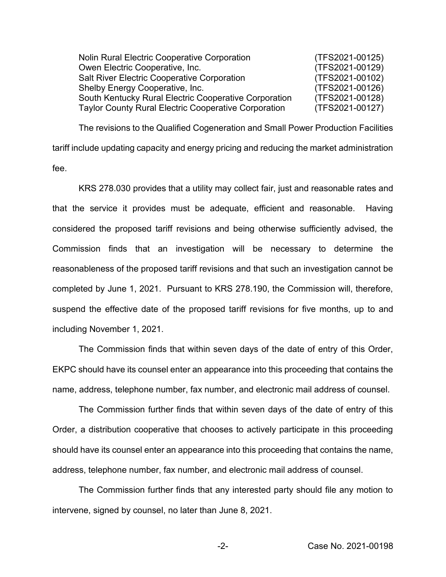| <b>Nolin Rural Electric Cooperative Corporation</b>   | (TFS2021-00125) |
|-------------------------------------------------------|-----------------|
| Owen Electric Cooperative, Inc.                       | (TFS2021-00129) |
| <b>Salt River Electric Cooperative Corporation</b>    | (TFS2021-00102) |
| Shelby Energy Cooperative, Inc.                       | (TFS2021-00126) |
| South Kentucky Rural Electric Cooperative Corporation | (TFS2021-00128) |
| Taylor County Rural Electric Cooperative Corporation  | (TFS2021-00127) |

The revisions to the Qualified Cogeneration and Small Power Production Facilities tariff include updating capacity and energy pricing and reducing the market administration fee.

KRS 278.030 provides that a utility may collect fair, just and reasonable rates and that the service it provides must be adequate, efficient and reasonable. Having considered the proposed tariff revisions and being otherwise sufficiently advised, the Commission finds that an investigation will be necessary to determine the reasonableness of the proposed tariff revisions and that such an investigation cannot be completed by June 1, 2021. Pursuant to KRS 278.190, the Commission will, therefore, suspend the effective date of the proposed tariff revisions for five months, up to and including November 1, 2021.

The Commission finds that within seven days of the date of entry of this Order, EKPC should have its counsel enter an appearance into this proceeding that contains the name, address, telephone number, fax number, and electronic mail address of counsel.

The Commission further finds that within seven days of the date of entry of this Order, a distribution cooperative that chooses to actively participate in this proceeding should have its counsel enter an appearance into this proceeding that contains the name, address, telephone number, fax number, and electronic mail address of counsel.

The Commission further finds that any interested party should file any motion to intervene, signed by counsel, no later than June 8, 2021.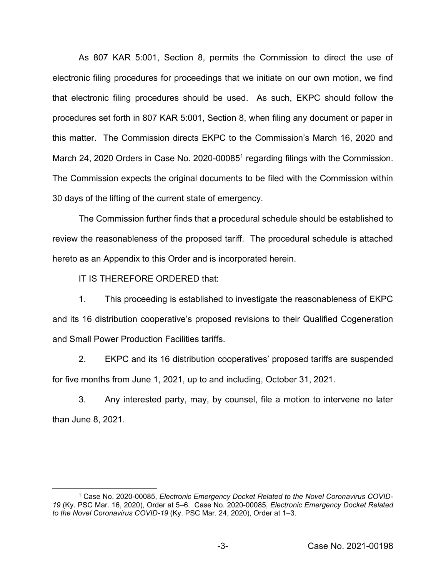As 807 KAR 5:001, Section 8, permits the Commission to direct the use of electronic filing procedures for proceedings that we initiate on our own motion, we find that electronic filing procedures should be used. As such, EKPC should follow the procedures set forth in 807 KAR 5:001, Section 8, when filing any document or paper in this matter. The Commission directs EKPC to the Commission's March 16, 2020 and March 24, 2020 Orders in Case No. 2020-00085<sup>1</sup> regarding filings with the Commission. The Commission expects the original documents to be filed with the Commission within 30 days of the lifting of the current state of emergency.

The Commission further finds that a procedural schedule should be established to review the reasonableness of the proposed tariff. The procedural schedule is attached hereto as an Appendix to this Order and is incorporated herein.

IT IS THEREFORE ORDERED that:

1. This proceeding is established to investigate the reasonableness of EKPC and its 16 distribution cooperative's proposed revisions to their Qualified Cogeneration and Small Power Production Facilities tariffs.

2. EKPC and its 16 distribution cooperatives' proposed tariffs are suspended for five months from June 1, 2021, up to and including, October 31, 2021.

3. Any interested party, may, by counsel, file a motion to intervene no later than June 8, 2021.

<sup>1</sup> Case No. 2020-00085, *Electronic Emergency Docket Related to the Novel Coronavirus COVID-19* (Ky. PSC Mar. 16, 2020), Order at 5–6. Case No. 2020-00085, *Electronic Emergency Docket Related to the Novel Coronavirus COVID-19* (Ky. PSC Mar. 24, 2020), Order at 1–3.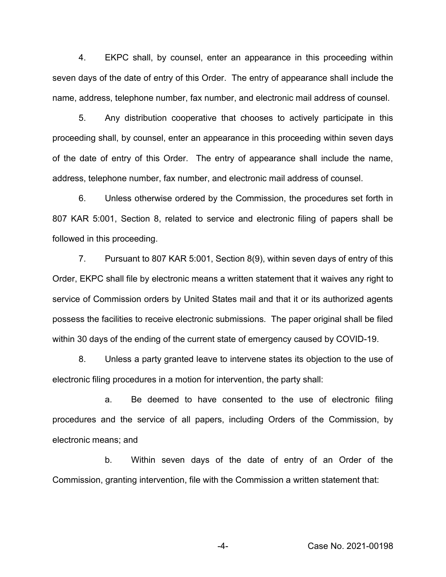4. EKPC shall, by counsel, enter an appearance in this proceeding within seven days of the date of entry of this Order. The entry of appearance shall include the name, address, telephone number, fax number, and electronic mail address of counsel.

5. Any distribution cooperative that chooses to actively participate in this proceeding shall, by counsel, enter an appearance in this proceeding within seven days of the date of entry of this Order. The entry of appearance shall include the name, address, telephone number, fax number, and electronic mail address of counsel.

6. Unless otherwise ordered by the Commission, the procedures set forth in 807 KAR 5:001, Section 8, related to service and electronic filing of papers shall be followed in this proceeding.

7. Pursuant to 807 KAR 5:001, Section 8(9), within seven days of entry of this Order, EKPC shall file by electronic means a written statement that it waives any right to service of Commission orders by United States mail and that it or its authorized agents possess the facilities to receive electronic submissions. The paper original shall be filed within 30 days of the ending of the current state of emergency caused by COVID-19.

8. Unless a party granted leave to intervene states its objection to the use of electronic filing procedures in a motion for intervention, the party shall:

a. Be deemed to have consented to the use of electronic filing procedures and the service of all papers, including Orders of the Commission, by electronic means; and

b. Within seven days of the date of entry of an Order of the Commission, granting intervention, file with the Commission a written statement that: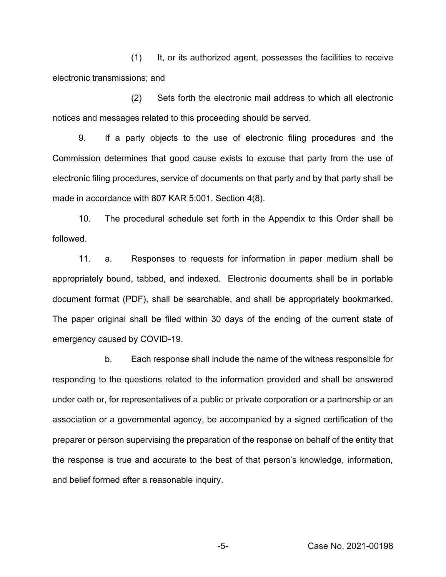(1) It, or its authorized agent, possesses the facilities to receive electronic transmissions; and

(2) Sets forth the electronic mail address to which all electronic notices and messages related to this proceeding should be served.

9. If a party objects to the use of electronic filing procedures and the Commission determines that good cause exists to excuse that party from the use of electronic filing procedures, service of documents on that party and by that party shall be made in accordance with 807 KAR 5:001, Section 4(8).

10. The procedural schedule set forth in the Appendix to this Order shall be followed.

11. a. Responses to requests for information in paper medium shall be appropriately bound, tabbed, and indexed. Electronic documents shall be in portable document format (PDF), shall be searchable, and shall be appropriately bookmarked. The paper original shall be filed within 30 days of the ending of the current state of emergency caused by COVID-19.

b. Each response shall include the name of the witness responsible for responding to the questions related to the information provided and shall be answered under oath or, for representatives of a public or private corporation or a partnership or an association or a governmental agency, be accompanied by a signed certification of the preparer or person supervising the preparation of the response on behalf of the entity that the response is true and accurate to the best of that person's knowledge, information, and belief formed after a reasonable inquiry.

-5- Case No. 2021-00198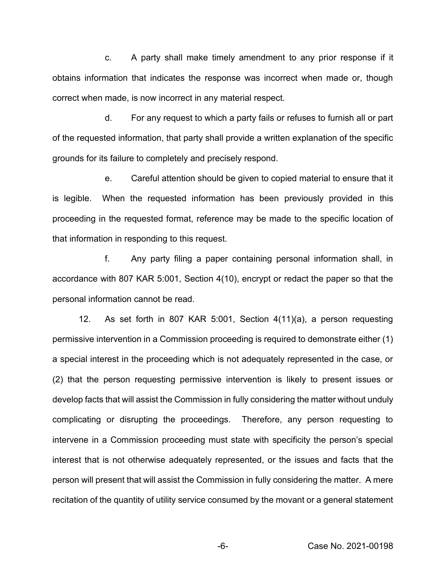c. A party shall make timely amendment to any prior response if it obtains information that indicates the response was incorrect when made or, though correct when made, is now incorrect in any material respect.

d. For any request to which a party fails or refuses to furnish all or part of the requested information, that party shall provide a written explanation of the specific grounds for its failure to completely and precisely respond.

e. Careful attention should be given to copied material to ensure that it is legible. When the requested information has been previously provided in this proceeding in the requested format, reference may be made to the specific location of that information in responding to this request.

f. Any party filing a paper containing personal information shall, in accordance with 807 KAR 5:001, Section 4(10), encrypt or redact the paper so that the personal information cannot be read.

12. As set forth in 807 KAR 5:001, Section 4(11)(a), a person requesting permissive intervention in a Commission proceeding is required to demonstrate either (1) a special interest in the proceeding which is not adequately represented in the case, or (2) that the person requesting permissive intervention is likely to present issues or develop facts that will assist the Commission in fully considering the matter without unduly complicating or disrupting the proceedings. Therefore, any person requesting to intervene in a Commission proceeding must state with specificity the person's special interest that is not otherwise adequately represented, or the issues and facts that the person will present that will assist the Commission in fully considering the matter. A mere recitation of the quantity of utility service consumed by the movant or a general statement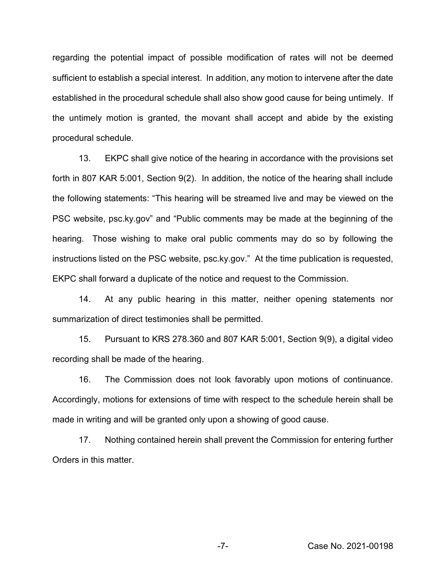regarding the potential impact of possible modification of rates will not be deemed sufficient to establish a special interest. In addition, any motion to intervene after the date established in the procedural schedule shall also show good cause for being untimely. If the untimely motion is granted, the movant shall accept and abide by the existing procedural schedule.

13. EKPC shall give notice of the hearing in accordance with the provisions set forth in 807 KAR 5:001, Section 9(2). In addition, the notice of the hearing shall include the following statements: "This hearing will be streamed live and may be viewed on the PSC website, psc.ky.gov" and "Public comments may be made at the beginning of the hearing. Those wishing to make oral public comments may do so by following the instructions listed on the PSC website, psc.ky.gov." At the time publication is requested, EKPC shall forward a duplicate of the notice and request to the Commission.

14. At any public hearing in this matter, neither opening statements nor summarization of direct testimonies shall be permitted.

15. Pursuant to KRS 278.360 and 807 KAR 5:001, Section 9(9), a digital video recording shall be made of the hearing.

16. The Commission does not look favorably upon motions of continuance. Accordingly, motions for extensions of time with respect to the schedule herein shall be made in writing and will be granted only upon a showing of good cause.

17. Nothing contained herein shall prevent the Commission for entering further Orders in this matter.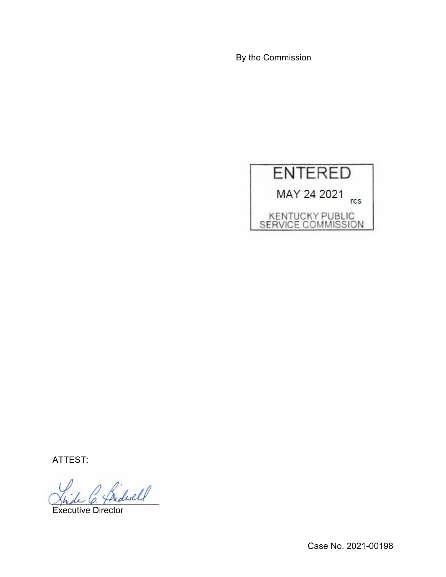By the Commission



ATTEST:

 $\ell$  and well

Executive Director

Case No. 2021-00198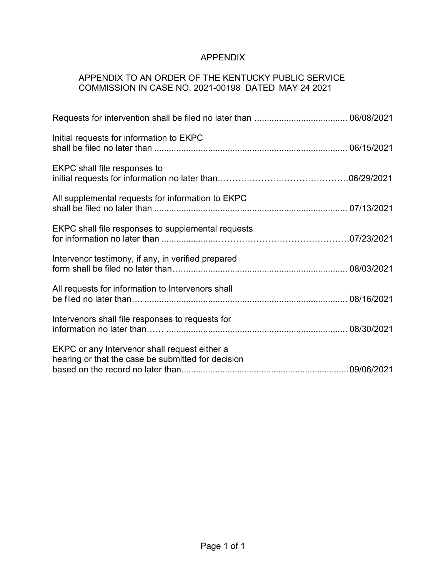# APPENDIX

## APPENDIX TO AN ORDER OF THE KENTUCKY PUBLIC SERVICE COMMISSION IN CASE NO. 2021-00198 DATED MAY 24 2021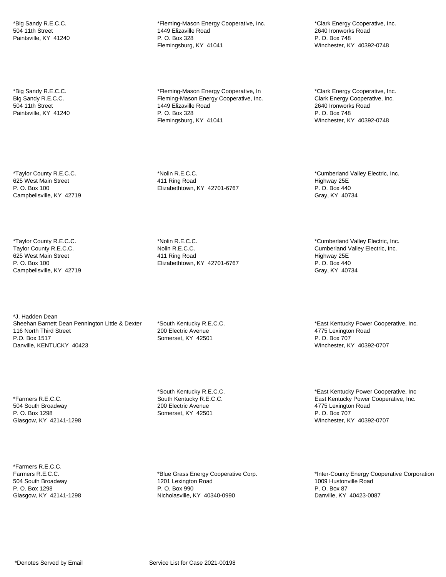\*Big Sandy R.E.C.C. 504 11th Street Paintsville, KY 41240

\*Big Sandy R.E.C.C. Big Sandy R.E.C.C. 504 11th Street Paintsville, KY 41240

\*Taylor County R.E.C.C. 625 West Main Street P. O. Box 100 Campbellsville, KY 42719

\*Taylor County R.E.C.C. Taylor County R.E.C.C. 625 West Main Street P. O. Box 100 Campbellsville, KY 42719

\*J. Hadden Dean Sheehan Barnett Dean Pennington Little & Dexter 116 North Third Street P.O. Box 1517 Danville, KENTUCKY 40423

\*Farmers R.E.C.C. 504 South Broadway P. O. Box 1298 Glasgow, KY 42141-1298

\*Farmers R.E.C.C. Farmers R.E.C.C. 504 South Broadway P. O. Box 1298 Glasgow, KY 42141-1298

\*Fleming-Mason Energy Cooperative, Inc. 1449 Elizaville Road P. O. Box 328 Flemingsburg, KY 41041

\*Fleming-Mason Energy Cooperative, In Fleming-Mason Energy Cooperative, Inc. 1449 Elizaville Road P. O. Box 328 Flemingsburg, KY 41041

\*Nolin R.E.C.C. 411 Ring Road Elizabethtown, KY 42701-6767

\*Nolin R.E.C.C. Nolin R.E.C.C. 411 Ring Road Elizabethtown, KY 42701-6767

\*South Kentucky R.E.C.C. 200 Electric Avenue Somerset, KY 42501

\*South Kentucky R.E.C.C. South Kentucky R.E.C.C. 200 Electric Avenue Somerset, KY 42501

\*Blue Grass Energy Cooperative Corp. 1201 Lexington Road P. O. Box 990 Nicholasville, KY 40340-0990

\*Clark Energy Cooperative, Inc. 2640 Ironworks Road P. O. Box 748 Winchester, KY 40392-0748

\*Clark Energy Cooperative, Inc. Clark Energy Cooperative, Inc. 2640 Ironworks Road P. O. Box 748 Winchester, KY 40392-0748

\*Cumberland Valley Electric, Inc. Highway 25E P. O. Box 440 Gray, KY 40734

\*Cumberland Valley Electric, Inc. Cumberland Valley Electric, Inc. Highway 25E P. O. Box 440 Gray, KY 40734

\*East Kentucky Power Cooperative, Inc. 4775 Lexington Road P. O. Box 707 Winchester, KY 40392-0707

\*East Kentucky Power Cooperative, Inc East Kentucky Power Cooperative, Inc. 4775 Lexington Road P. O. Box 707 Winchester, KY 40392-0707

\*Inter-County Energy Cooperative Corporation 1009 Hustonville Road P. O. Box 87 Danville, KY 40423-0087